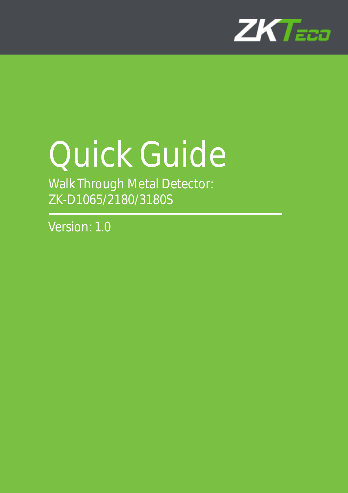

# Quick Guide

Walk Through Metal Detector: ZK-D1065/2180/3180S

Version: 1.0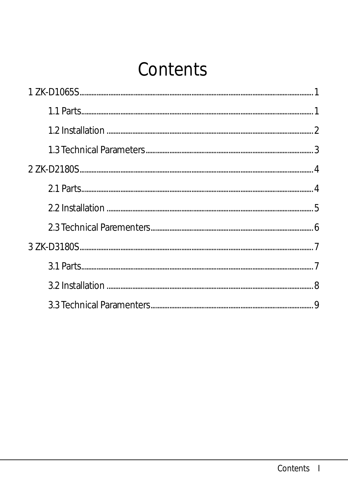# Contents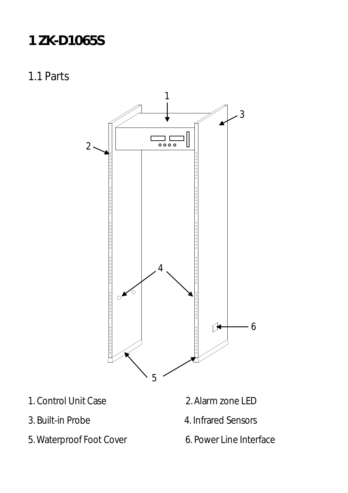# <span id="page-2-0"></span>**1 ZK-D1065S**

<span id="page-2-1"></span>1.1 Parts



- 1. Control Unit Case 2. Alarm zone LED
- 
- 5. Waterproof Foot Cover 6. Power Line Interface
- 
- 3. Built-in Probe 4. Infrared Sensors
	-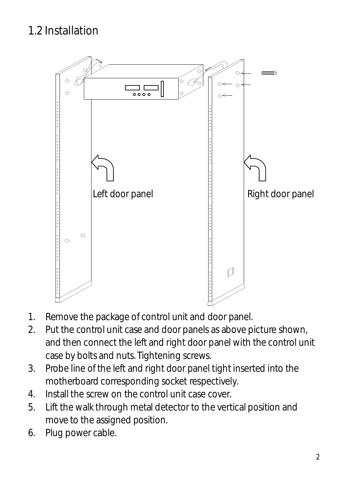#### <span id="page-3-0"></span>1.2 Installation



- 1. Remove the package of control unit and door panel.
- 2. Put the control unit case and door panels as above picture shown, and then connect the left and right door panel with the control unit case by bolts and nuts. Tightening screws.
- 3. Probe line of the left and right door panel tight inserted into the motherboard corresponding socket respectively.
- 4. Install the screw on the control unit case cover.
- 5. Lift the walk through metal detector to the vertical position and move to the assigned position.
- 6. Plug power cable.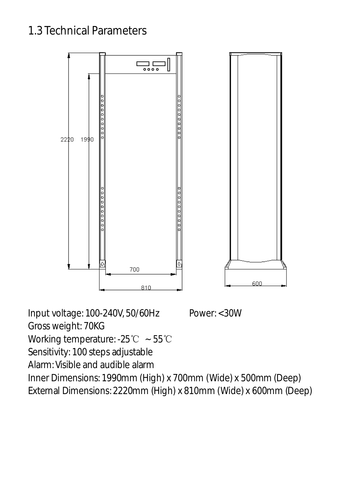#### <span id="page-4-0"></span>1.3 Technical Parameters



Input voltage: 100-240V, 50/60Hz Power: <30W Gross weight: 70KG Working temperature: -25℃ ~ 55℃ Sensitivity: 100 steps adjustable Alarm: Visible and audible alarm Inner Dimensions: 1990mm (High) x 700mm (Wide) x 500mm (Deep) External Dimensions: 2220mm (High) x 810mm (Wide) x 600mm (Deep)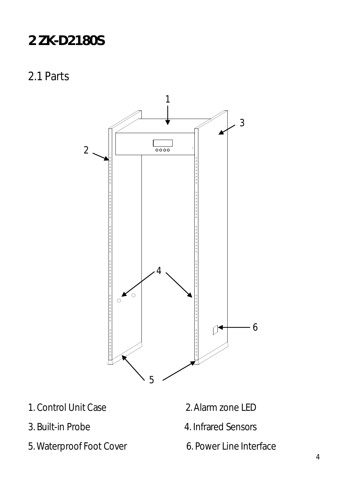## <span id="page-5-0"></span>**2 ZK-D2180S**

<span id="page-5-1"></span>2.1 Parts



- 1. Control Unit Case 2. Alarm zone LED
	-
- 3. Built-in Probe 4. Infrared Sensors
- 5. Waterproof Foot Cover 6. Power Line Interface
-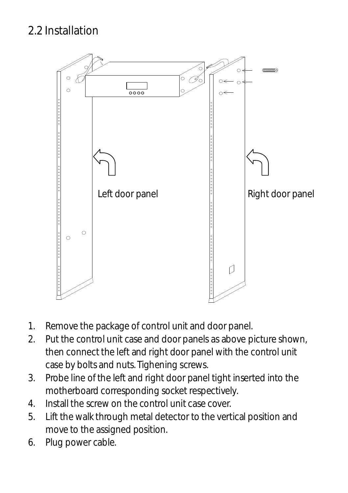#### <span id="page-6-0"></span>2.2 Installation



- 1. Remove the package of control unit and door panel.
- 2. Put the control unit case and door panels as above picture shown, then connect the left and right door panel with the control unit case by bolts and nuts. Tighening screws.
- 3. Probe line of the left and right door panel tight inserted into the motherboard corresponding socket respectively.
- 4. Install the screw on the control unit case cover.
- 5. Lift the walk through metal detector to the vertical position and move to the assigned position.
- 6. Plug power cable.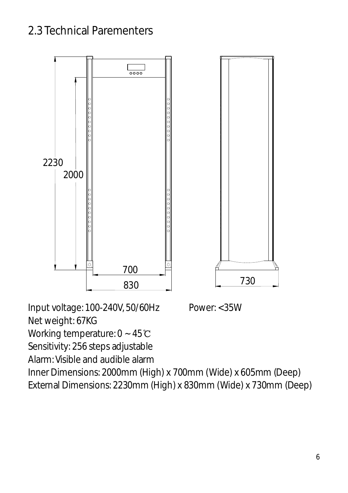#### <span id="page-7-0"></span>2.3 Technical Parementers



Input voltage: 100-240V, 50/60Hz Power: <35W Net weight: 67KG Working temperature: 0 ~ 45℃ Sensitivity: 256 steps adjustable Alarm: Visible and audible alarm Inner Dimensions: 2000mm (High) x 700mm (Wide) x 605mm (Deep) External Dimensions: 2230mm (High) x 830mm (Wide) x 730mm (Deep)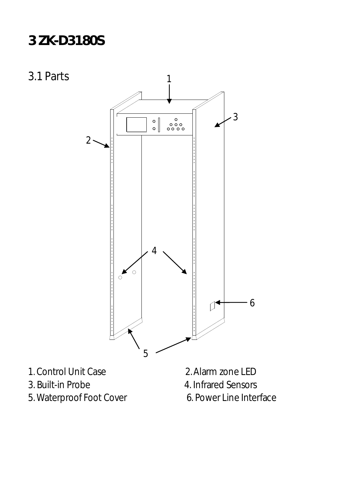## <span id="page-8-0"></span>**3 ZK-D3180S**

<span id="page-8-1"></span>3.1 Parts



- 
- 5. Waterproof Foot Cover 6. Power Line Interface
-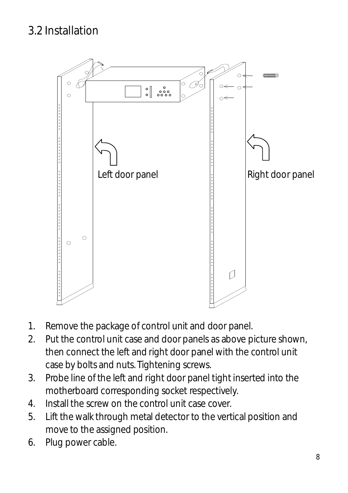#### <span id="page-9-0"></span>3.2 Installation



- 1. Remove the package of control unit and door panel.
- 2. Put the control unit case and door panels as above picture shown, then connect the left and right door panel with the control unit case by bolts and nuts. Tightening screws.
- 3. Probe line of the left and right door panel tight inserted into the motherboard corresponding socket respectively.
- 4. Install the screw on the control unit case cover.
- 5. Lift the walk through metal detector to the vertical position and move to the assigned position.
- 6. Plug power cable.